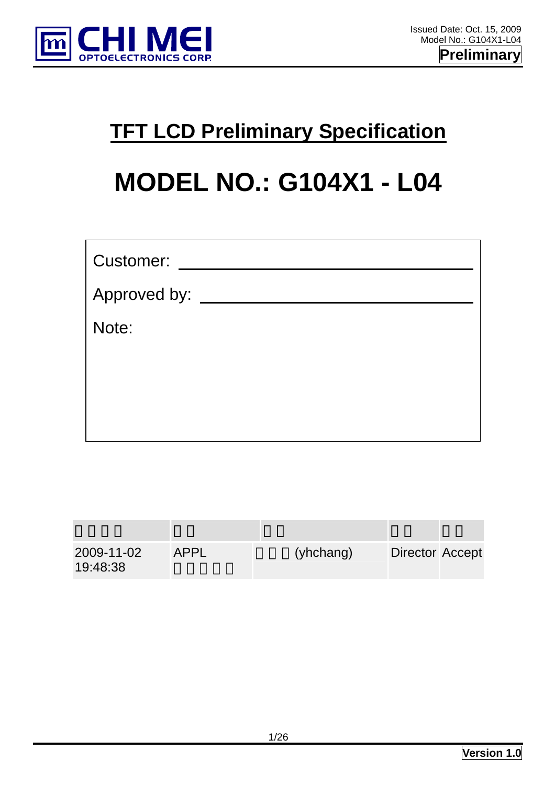

## **TFT LCD Preliminary Specification**

# **MODEL NO.: G104X1 - L04**

| <b>Customer:</b> |
|------------------|
| Approved by:     |
| Note:            |
|                  |
|                  |
|                  |

| 2009-11-02<br>19:48:38 | APPL | (yhchang) | Director Accept |  |
|------------------------|------|-----------|-----------------|--|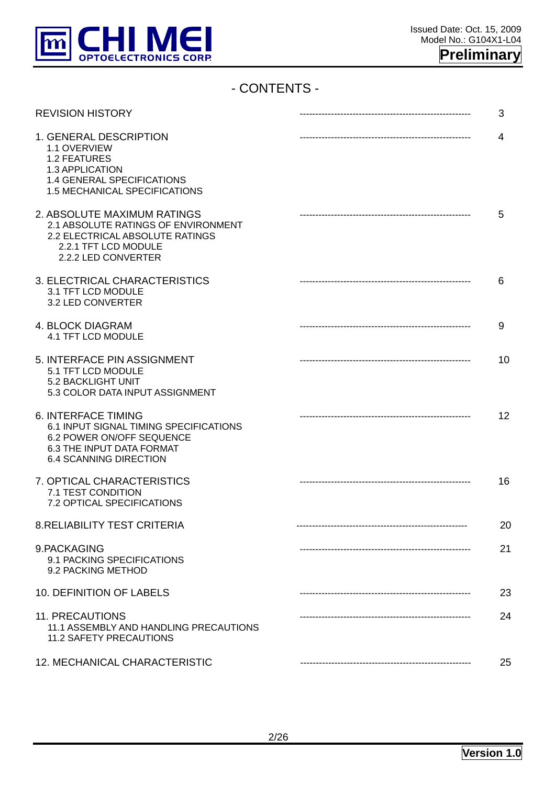

## - CONTENTS -

| <b>REVISION HISTORY</b>                                                                                                                                         | 3  |
|-----------------------------------------------------------------------------------------------------------------------------------------------------------------|----|
| 1. GENERAL DESCRIPTION<br>1.1 OVERVIEW<br>1.2 FEATURES<br>1.3 APPLICATION<br>1.4 GENERAL SPECIFICATIONS<br>1.5 MECHANICAL SPECIFICATIONS                        | 4  |
| 2. ABSOLUTE MAXIMUM RATINGS<br>2.1 ABSOLUTE RATINGS OF ENVIRONMENT<br>2.2 ELECTRICAL ABSOLUTE RATINGS<br>2.2.1 TFT LCD MODULE<br>2.2.2 LED CONVERTER            | 5  |
| 3. ELECTRICAL CHARACTERISTICS<br>3.1 TFT LCD MODULE<br>3.2 LED CONVERTER                                                                                        | 6  |
| 4. BLOCK DIAGRAM<br><b>4.1 TFT LCD MODULE</b>                                                                                                                   | 9  |
| 5. INTERFACE PIN ASSIGNMENT<br>5.1 TFT LCD MODULE<br>5.2 BACKLIGHT UNIT<br>5.3 COLOR DATA INPUT ASSIGNMENT                                                      | 10 |
| <b>6. INTERFACE TIMING</b><br>6.1 INPUT SIGNAL TIMING SPECIFICATIONS<br>6.2 POWER ON/OFF SEQUENCE<br>6.3 THE INPUT DATA FORMAT<br><b>6.4 SCANNING DIRECTION</b> | 12 |
| 7. OPTICAL CHARACTERISTICS<br>7.1 TEST CONDITION<br>7.2 OPTICAL SPECIFICATIONS                                                                                  | 16 |
| 8. RELIABILITY TEST CRITERIA                                                                                                                                    | 20 |
| 9.PACKAGING<br>9.1 PACKING SPECIFICATIONS<br>9.2 PACKING METHOD                                                                                                 | 21 |
| 10. DEFINITION OF LABELS                                                                                                                                        | 23 |
| <b>11. PRECAUTIONS</b><br>11.1 ASSEMBLY AND HANDLING PRECAUTIONS<br><b>11.2 SAFETY PRECAUTIONS</b>                                                              | 24 |
| 12. MECHANICAL CHARACTERISTIC                                                                                                                                   | 25 |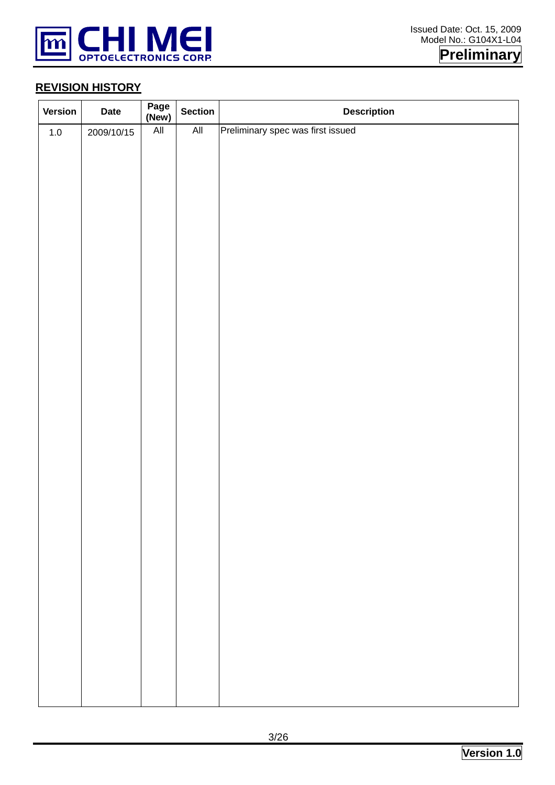

## **Preliminary**

#### **REVISION HISTORY**

| Version | <b>Date</b> | Page<br>(New)  | <b>Section</b>            | <b>Description</b>                |
|---------|-------------|----------------|---------------------------|-----------------------------------|
| $1.0\,$ | 2009/10/15  | $\mathsf{All}$ | $\overline{\mathsf{All}}$ | Preliminary spec was first issued |
|         |             |                |                           |                                   |
|         |             |                |                           |                                   |
|         |             |                |                           |                                   |
|         |             |                |                           |                                   |
|         |             |                |                           |                                   |
|         |             |                |                           |                                   |
|         |             |                |                           |                                   |
|         |             |                |                           |                                   |
|         |             |                |                           |                                   |
|         |             |                |                           |                                   |
|         |             |                |                           |                                   |
|         |             |                |                           |                                   |
|         |             |                |                           |                                   |
|         |             |                |                           |                                   |
|         |             |                |                           |                                   |
|         |             |                |                           |                                   |
|         |             |                |                           |                                   |
|         |             |                |                           |                                   |
|         |             |                |                           |                                   |
|         |             |                |                           |                                   |
|         |             |                |                           |                                   |
|         |             |                |                           |                                   |
|         |             |                |                           |                                   |
|         |             |                |                           |                                   |
|         |             |                |                           |                                   |
|         |             |                |                           |                                   |
|         |             |                |                           |                                   |
|         |             |                |                           |                                   |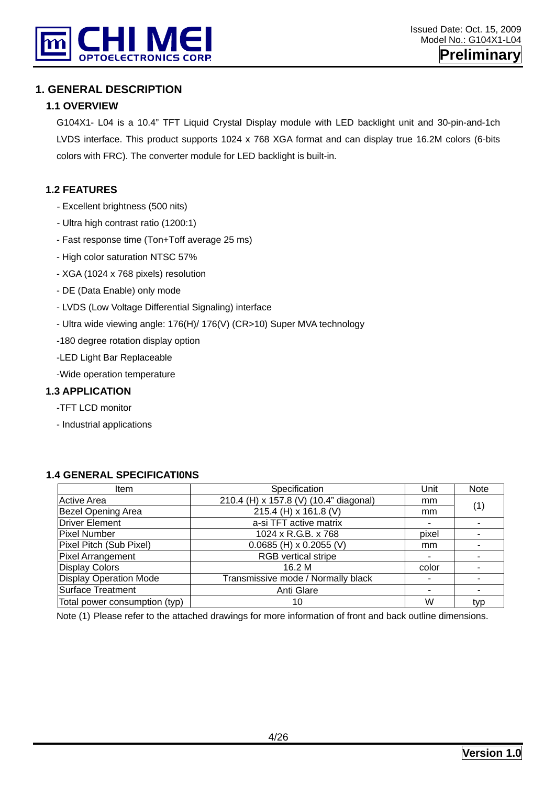

#### **1. GENERAL DESCRIPTION**

#### **1.1 OVERVIEW**

G104X1- L04 is a 10.4" TFT Liquid Crystal Display module with LED backlight unit and 30-pin-and-1ch LVDS interface. This product supports 1024 x 768 XGA format and can display true 16.2M colors (6-bits colors with FRC). The converter module for LED backlight is built-in.

#### **1.2 FEATURES**

- Excellent brightness (500 nits)
- Ultra high contrast ratio (1200:1)
- Fast response time (Ton+Toff average 25 ms)
- High color saturation NTSC 57%
- XGA (1024 x 768 pixels) resolution
- DE (Data Enable) only mode
- LVDS (Low Voltage Differential Signaling) interface
- Ultra wide viewing angle: 176(H)/ 176(V) (CR>10) Super MVA technology
- -180 degree rotation display option
- -LED Light Bar Replaceable
- -Wide operation temperature

#### **1.3 APPLICATION**

- -TFT LCD monitor
- Industrial applications

| ltem                          | Specification                          | Unit  | <b>Note</b>              |
|-------------------------------|----------------------------------------|-------|--------------------------|
| <b>Active Area</b>            | 210.4 (H) x 157.8 (V) (10.4" diagonal) | mm    | (1)                      |
| <b>Bezel Opening Area</b>     | 215.4 (H) x 161.8 (V)                  | mm    |                          |
| <b>Driver Element</b>         | a-si TFT active matrix                 | ۰     |                          |
| <b>Pixel Number</b>           | 1024 x R.G.B. x 768                    | pixel | ٠                        |
| Pixel Pitch (Sub Pixel)       | $0.0685$ (H) x 0.2055 (V)              | mm    | ۰                        |
| Pixel Arrangement             | <b>RGB</b> vertical stripe             | -     | $\overline{\phantom{0}}$ |
| <b>Display Colors</b>         | 16.2 M                                 | color |                          |
| <b>Display Operation Mode</b> | Transmissive mode / Normally black     | ۰     | ۰                        |
| Surface Treatment             | Anti Glare                             |       | ۰                        |
| Total power consumption (typ) | 10                                     | W     | typ                      |

#### **1.4 GENERAL SPECIFICATI0NS**

Note (1) Please refer to the attached drawings for more information of front and back outline dimensions.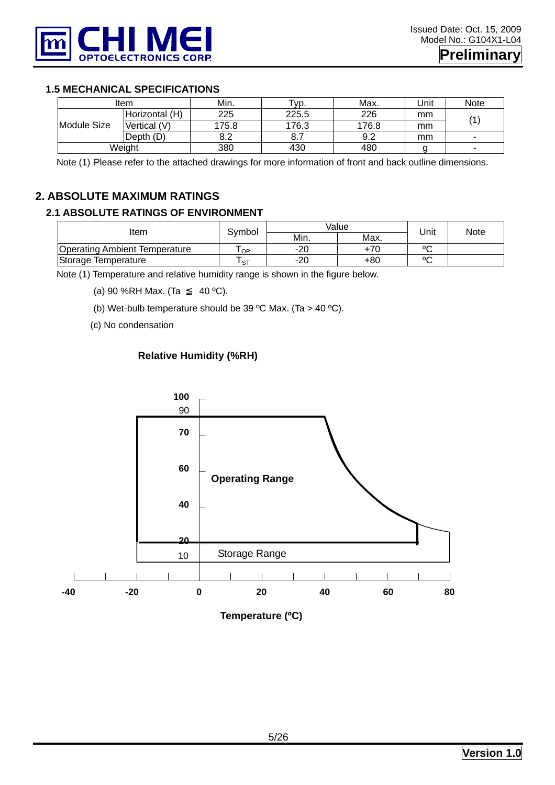

#### **1.5 MECHANICAL SPECIFICATIONS**

|             | Item           | Min.  | Typ.  | Max.  | Unit | <b>Note</b>    |
|-------------|----------------|-------|-------|-------|------|----------------|
|             | Horizontal (H) | 225   | 225.5 | 226   | mm   | $\overline{A}$ |
| Module Size | Vertical (V)   | 175.8 | 176.3 | 176.8 | mm   |                |
|             | Depth (D)      | 8.2   | 8.7   | 9.2   | mm   | -              |
| Weight      |                | 380   | 430   | 480   |      | -              |

Note (1) Please refer to the attached drawings for more information of front and back outline dimensions.

#### **2. ABSOLUTE MAXIMUM RATINGS**

#### **2.1 ABSOLUTE RATINGS OF ENVIRONMENT**

| ltem                                 | Svmbol    | Value | Unit | Note |  |
|--------------------------------------|-----------|-------|------|------|--|
|                                      |           | Min.  | Max. |      |  |
| <b>Operating Ambient Temperature</b> | OP        | $-20$ | +70  | ٥٢   |  |
| Storage Temperature                  | <b>ST</b> | -20   | +80  | ᅆ    |  |

Note (1) Temperature and relative humidity range is shown in the figure below.

(a) 90 %RH Max. (Ta  $40 °C$ ).

(b) Wet-bulb temperature should be 39 °C Max. (Ta > 40 °C).

(c) No condensation

#### **Relative Humidity (%RH)**

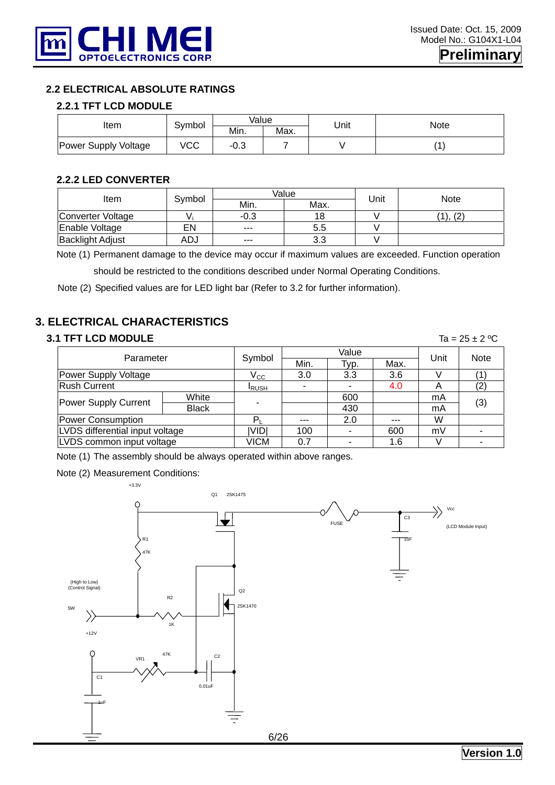

#### **2.2 ELECTRICAL ABSOLUTE RATINGS**

#### **2.2.1 TFT LCD MODULE**

| Item                 | Symbol | Value          |      |      | Note |  |
|----------------------|--------|----------------|------|------|------|--|
|                      |        | Min.           | Max. | Unit |      |  |
| Power Supply Voltage | VCC    | $\sim$<br>ن.∪- |      |      |      |  |

#### **2.2.2 LED CONVERTER**

| ltem                    | Value<br>Symbol |         |      | Jnit | <b>Note</b> |  |
|-------------------------|-----------------|---------|------|------|-------------|--|
|                         |                 | Min.    | Max. |      |             |  |
| Converter Voltage       | v.              | $-0.3$  | 18   |      | (2)         |  |
| Enable Voltage          | EN              | $- - -$ | 5.5  |      |             |  |
| <b>Backlight Adjust</b> | ADJ             | $---$   | 3.3  |      |             |  |

Note (1) Permanent damage to the device may occur if maximum values are exceeded. Function operation

should be restricted to the conditions described under Normal Operating Conditions.

Note (2) Specified values are for LED light bar (Refer to 3.2 for further information).

#### **3. ELECTRICAL CHARACTERISTICS**

#### **3.1 TFT LCD MODULE** Ta =  $25 \pm 2$  °C

| Parameter                       |              | Symbol        |         | Value | Unit | <b>Note</b> |     |
|---------------------------------|--------------|---------------|---------|-------|------|-------------|-----|
|                                 |              |               | Min.    | Typ.  | Max. |             |     |
| Power Supply Voltage            | $V_{\rm CC}$ | 3.0           | 3.3     | 3.6   |      |             |     |
| <b>Rush Current</b>             |              | <b>I</b> RUSH |         |       | 4.0  | A           |     |
| Power Supply Current            | White        |               |         | 600   |      | mA          | (3) |
|                                 | <b>Black</b> |               |         | 430   |      | mA          |     |
| Power Consumption               |              |               | $- - -$ | 2.0   | ---  | W           |     |
| LVDS differential input voltage |              | ividi         | 100     |       | 600  | mV          |     |
| LVDS common input voltage       |              | VICM          | 0.7     |       | 1.6  |             |     |

Note (1) The assembly should be always operated within above ranges.

Note (2) Measurement Conditions:

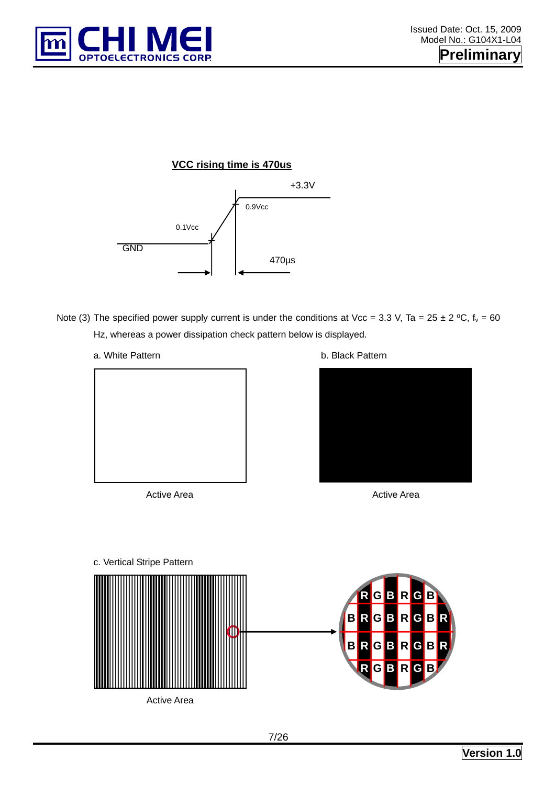

#### **VCC rising time is 470us**



- Note (3) The specified power supply current is under the conditions at Vcc = 3.3 V, Ta = 25  $\pm$  2 °C, f<sub>v</sub> = 60 Hz, whereas a power dissipation check pattern below is displayed.
	- a. White Pattern **b. Black Pattern**



Active Area **Active Area** Active Area





#### c. Vertical Stripe Pattern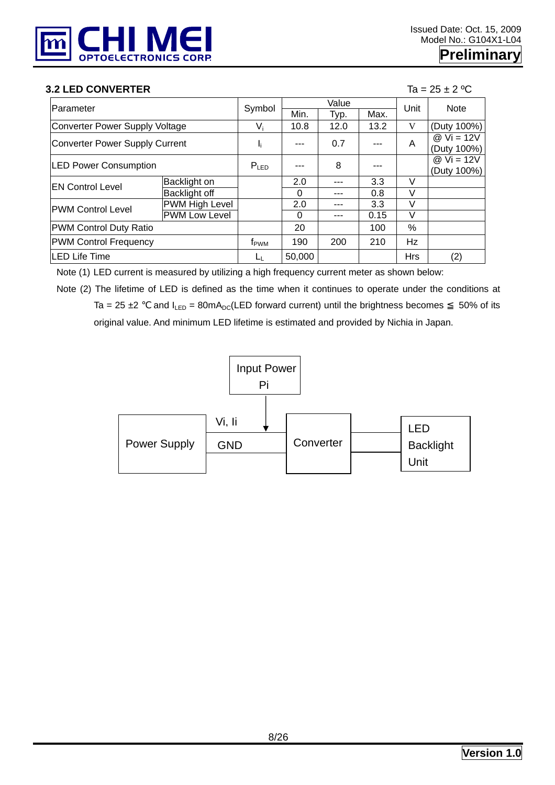

#### **3.2 LED CONVERTER** Ta =  $25 \pm 2$  °C

| Parameter                             |                       | Symbol         | Value  |      |      | Unit       | <b>Note</b>  |
|---------------------------------------|-----------------------|----------------|--------|------|------|------------|--------------|
|                                       |                       |                | Min.   | Typ. | Max. |            |              |
| <b>Converter Power Supply Voltage</b> |                       | Vi             | 10.8   | 12.0 | 13.2 | V          | (Duty 100%)  |
| <b>Converter Power Supply Current</b> |                       |                | ---    | 0.7  |      | A          | $@$ Vi = 12V |
|                                       |                       | I,             |        |      |      |            | (Duty 100%)  |
| <b>LED Power Consumption</b>          |                       | $P_{LED}$      |        | 8    | ---  |            | $@$ Vi = 12V |
|                                       |                       |                |        |      |      |            | (Duty 100%)  |
| <b>EN Control Level</b>               | Backlight on          |                | 2.0    | ---  | 3.3  | V          |              |
|                                       | Backlight off         |                | 0      |      | 0.8  | V          |              |
| <b>PWM Control Level</b>              | <b>PWM High Level</b> |                | 2.0    |      | 3.3  | $\vee$     |              |
|                                       | <b>PWM Low Level</b>  |                | 0      |      | 0.15 | V          |              |
| <b>PWM Control Duty Ratio</b>         |                       |                | 20     |      | 100  | $\%$       |              |
| <b>PWM Control Frequency</b>          | f <sub>PWM</sub>      | 190            | 200    | 210  | Hz   |            |              |
| <b>LED Life Time</b>                  |                       | L <sub>L</sub> | 50,000 |      |      | <b>Hrs</b> | (2)          |

Note (1) LED current is measured by utilizing a high frequency current meter as shown below:

Note (2) The lifetime of LED is defined as the time when it continues to operate under the conditions at Ta = 25  $\pm$ 2 and  $I_{LED}$  = 80mA<sub>DC</sub>(LED forward current) until the brightness becomes 50% of its original value. And minimum LED lifetime is estimated and provided by Nichia in Japan.

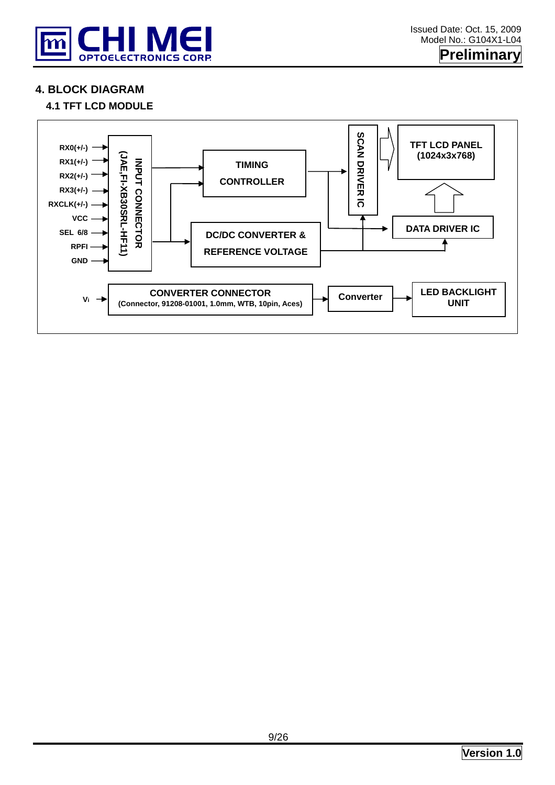

**4. BLOCK DIAGRAM** 

#### **4.1 TFT LCD MODULE**

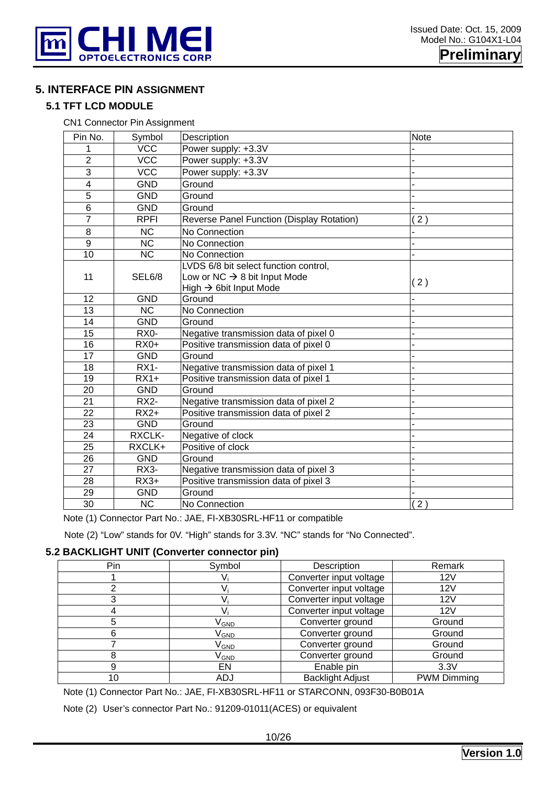

**Preliminary** 

#### **5. INTERFACE PIN ASSIGNMENT**

#### **5.1 TFT LCD MODULE**

CN1 Connector Pin Assignment

| Pin No.                 | Symbol                 | Description                               | <b>Note</b>      |
|-------------------------|------------------------|-------------------------------------------|------------------|
|                         | <b>VCC</b>             | Power supply: +3.3V                       |                  |
| $\overline{2}$          | <b>VCC</b>             | Power supply: +3.3V                       |                  |
| 3                       | <b>VCC</b>             | Power supply: +3.3V                       |                  |
| $\overline{\mathbf{4}}$ | <b>GND</b>             | Ground                                    |                  |
| $\overline{5}$          | <b>GND</b>             | Ground                                    |                  |
| 6                       | <b>GND</b>             | Ground                                    |                  |
| $\overline{7}$          | <b>RPFI</b>            | Reverse Panel Function (Display Rotation) | 2)               |
| 8                       | <b>NC</b>              | No Connection                             |                  |
| 9                       | <b>NC</b>              | No Connection                             |                  |
| 10                      | $\overline{\text{NC}}$ | No Connection                             |                  |
|                         |                        | LVDS 6/8 bit select function control,     |                  |
| 11                      | SEL6/8                 | Low or NC $\rightarrow$ 8 bit Input Mode  | (2)              |
|                         |                        | High $\rightarrow$ 6bit Input Mode        |                  |
| 12                      | <b>GND</b>             | Ground                                    |                  |
| 13                      | <b>NC</b>              | No Connection                             |                  |
| 14                      | <b>GND</b>             | Ground                                    |                  |
| 15                      | RX0-                   | Negative transmission data of pixel 0     |                  |
| 16                      | $RX0+$                 | Positive transmission data of pixel 0     |                  |
| 17                      | <b>GND</b>             | Ground                                    |                  |
| 18                      | <b>RX1-</b>            | Negative transmission data of pixel 1     |                  |
| 19                      | $RX1+$                 | Positive transmission data of pixel 1     |                  |
| 20                      | <b>GND</b>             | Ground                                    |                  |
| $\overline{21}$         | $RX2-$                 | Negative transmission data of pixel 2     |                  |
| 22                      | $RX2+$                 | Positive transmission data of pixel 2     |                  |
| 23                      | <b>GND</b>             | Ground                                    |                  |
| 24                      | RXCLK-                 | Negative of clock                         |                  |
| 25                      | RXCLK+                 | Positive of clock                         |                  |
| 26                      | <b>GND</b>             | Ground                                    |                  |
| $\overline{27}$         | $RX3-$                 | Negative transmission data of pixel 3     |                  |
| 28                      | $RX3+$                 | Positive transmission data of pixel 3     |                  |
| 29                      | <b>GND</b>             | Ground                                    |                  |
| 30                      | <b>NC</b>              | No Connection                             | $\overline{2}$ ) |

Note (1) Connector Part No.: JAE, FI-XB30SRL-HF11 or compatible

Note (2) "Low" stands for 0V. "High" stands for 3.3V. "NC" stands for "No Connected".

#### **5.2 BACKLIGHT UNIT (Converter connector pin)**

| Pin | Symbol           | Description             | Remark             |
|-----|------------------|-------------------------|--------------------|
|     |                  | Converter input voltage | 12V                |
|     |                  | Converter input voltage | 12V                |
|     |                  | Converter input voltage | 12V                |
|     |                  | Converter input voltage | 12V                |
| :5  | V <sub>GND</sub> | Converter ground        | Ground             |
| 6   | V <sub>GND</sub> | Converter ground        | Ground             |
|     | V <sub>GND</sub> | Converter ground        | Ground             |
|     | V <sub>GND</sub> | Converter ground        | Ground             |
|     | EN               | Enable pin              | 3.3V               |
|     | ADJ              | <b>Backlight Adjust</b> | <b>PWM Dimming</b> |

Note (1) Connector Part No.: JAE, FI-XB30SRL-HF11 or STARCONN, 093F30-B0B01A

Note (2) User's connector Part No.: 91209-01011(ACES) or equivalent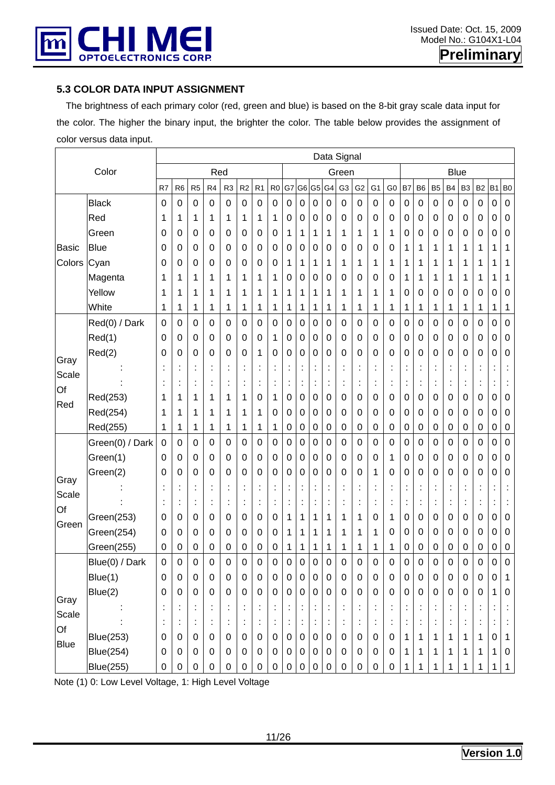

#### **5.3 COLOR DATA INPUT ASSIGNMENT**

 The brightness of each primary color (red, green and blue) is based on the 8-bit gray scale data input for the color. The higher the binary input, the brighter the color. The table below provides the assignment of color versus data input.

|               |                  |                  |                      |                  |                |                      |                |                  |                |                  |                      |                      |                | Data Signal      |                  |                      |                |                      |             |                      |                      |                |             |                |                |
|---------------|------------------|------------------|----------------------|------------------|----------------|----------------------|----------------|------------------|----------------|------------------|----------------------|----------------------|----------------|------------------|------------------|----------------------|----------------|----------------------|-------------|----------------------|----------------------|----------------|-------------|----------------|----------------|
|               | Color            |                  |                      |                  | Red            |                      |                |                  |                |                  |                      |                      |                | Green            |                  |                      |                |                      |             |                      | <b>Blue</b>          |                |             |                |                |
|               |                  | R7               | R <sub>6</sub>       | R <sub>5</sub>   | R4             | R <sub>3</sub>       | R <sub>2</sub> | R1               | R <sub>0</sub> | G7               | G6                   | G <sub>5</sub>       | G4             | G <sub>3</sub>   | G <sub>2</sub>   | G <sub>1</sub>       | G <sub>0</sub> | B7                   | <b>B6</b>   | B <sub>5</sub>       | B <sub>4</sub>       | B <sub>3</sub> | <b>B2</b>   | B <sub>1</sub> | B <sub>0</sub> |
|               | <b>Black</b>     | $\pmb{0}$        | 0                    | 0                | 0              | 0                    | 0              | 0                | 0              | 0                | 0                    | 0                    | 0              | 0                | $\pmb{0}$        | $\mathbf 0$          | 0              | $\mathbf 0$          | 0           | 0                    | 0                    | 0              | 0           | 0              | $\,0\,$        |
|               | Red              | 1                | 1                    | 1                | 1              | 1                    | 1              | 1                | 1              | 0                | 0                    | 0                    | 0              | 0                | 0                | 0                    | 0              | $\mathbf 0$          | 0           | 0                    | 0                    | 0              | 0           | 0              | $\pmb{0}$      |
|               | Green            | 0                | 0                    | $\mathbf 0$      | 0              | 0                    | 0              | 0                | 0              | 1                | 1                    | 1                    | 1              | 1                | 1                | 1                    | 1              | 0                    | 0           | 0                    | 0                    | 0              | 0           | 0              | 0              |
| <b>Basic</b>  | <b>Blue</b>      | 0                | 0                    | 0                | 0              | 0                    | 0              | 0                | 0              | 0                | 0                    | 0                    | 0              | 0                | 0                | 0                    | 0              | 1                    | 1           | 1                    | 1                    | 1              | 1           | 1              | 1              |
| Colors        | Cyan             | 0                | 0                    | 0                | 0              | 0                    | 0              | 0                | 0              | 1                | 1                    | 1                    | 1              | 1                | 1                | 1                    | 1              | 1                    | 1           | 1                    | 1                    | 1              | 1           | 1              | 1              |
|               | Magenta          | 1                | 1                    | 1                | 1              | 1                    | 1              | 1                | 1              | 0                | 0                    | 0                    | 0              | 0                | 0                | 0                    | 0              | 1                    | 1           | 1                    | 1                    | 1              | 1           | 1              | 1              |
|               | Yellow           | 1                | 1                    | 1                | 1              | 1                    | 1              | 1                | 1              | 1                | 1                    | 1                    | 1              | 1                | 1                | 1                    | 1              | 0                    | 0           | 0                    | 0                    | 0              | 0           | 0              | 0              |
|               | White            | 1                | 1                    | 1                | 1              | 1                    | 1              | 1                | 1              | 1                | 1                    | 1                    | 1              | 1                | 1                | 1                    | 1              | 1                    | 1           | 1                    | 1                    | 1              | 1           | 1              | 1              |
|               | Red(0) / Dark    | 0                | 0                    | 0                | 0              | 0                    | 0              | 0                | 0              | 0                | $\mathbf 0$          | $\mathbf 0$          | 0              | 0                | 0                | 0                    | 0              | $\mathbf 0$          | 0           | 0                    | 0                    | 0              | $\mathbf 0$ | 0              | $\pmb{0}$      |
|               | Red(1)           | 0                | 0                    | 0                | 0              | 0                    | 0              | 0                | 1              | 0                | 0                    | 0                    | 0              | 0                | 0                | 0                    | 0              | $\mathbf 0$          | 0           | 0                    | 0                    | 0              | 0           | 0              | $\pmb{0}$      |
| Gray          | Red(2)           | 0                | 0                    | 0                | 0              | 0                    | 0              | 1                | 0              | 0                | 0                    | 0                    | 0              | 0                | 0                | 0                    | 0              | $\mathbf 0$          | 0           | 0                    | 0                    | 0              | 0           | 0              | 0              |
| Scale         |                  |                  | t                    | t                |                | Î,                   | İ              | $\ddot{\cdot}$   | İ              | t                | ÷                    | t                    |                | t                |                  | ÷                    |                | t                    |             | Ĭ,                   | t                    |                | t           | ×,             | ÷              |
| Of            |                  |                  | $\blacksquare$       |                  |                | ×                    |                |                  |                | ÷                | ĵ,                   | $\ddot{\cdot}$       |                | Ì                |                  | $\ddot{\cdot}$       | ×              | $\ddot{\phantom{a}}$ |             |                      | İ,                   |                | İ           |                | ÷              |
| Red           | Red(253)         | 1                | 1                    | 1                | 1              | 1                    | 1              | 0                | 1              | 0                | $\mathbf 0$          | 0                    | 0              | 0                | 0                | 0                    | 0              | $\mathbf 0$          | 0           | 0                    | 0                    | 0              | 0           | 0              | $\,0\,$        |
|               | Red(254)         | 1                | 1                    | 1                | 1              | 1                    | 1              | 1                | 0              | 0                | 0                    | 0                    | 0              | 0                | 0                | 0                    | 0              | $\mathbf 0$          | 0           | 0                    | 0                    | 0              | 0           | 0              | 0              |
|               | Red(255)         | 1                | 1                    | 1                | 1              | 1                    | 1              | 1                | 1              | 0                | $\pmb{0}$            | 0                    | 0              | 0                | 0                | 0                    | 0              | $\boldsymbol{0}$     | 0           | 0                    | 0                    | 0              | 0           | 0              | $\pmb{0}$      |
|               | Green(0) / Dark  | 0                | $\boldsymbol{0}$     | $\mathbf 0$      | 0              | 0                    | 0              | $\boldsymbol{0}$ | 0              | 0                | $\mathbf 0$          | $\mathbf 0$          | 0              | 0                | 0                | 0                    | 0              | $\boldsymbol{0}$     | 0           | 0                    | 0                    | 0              | 0           | 0              | 0              |
|               | Green(1)         | 0                | 0                    | 0                | 0              | 0                    | 0              | 0                | 0              | 0                | 0                    | 0                    | 0              | 0                | 0                | 0                    | 1              | $\mathbf 0$          | 0           | 0                    | 0                    | 0              | 0           | 0              | 0              |
| Gray          | Green(2)         | 0                | 0                    | 0                | 0              | 0                    | 0              | 0                | 0              | 0                | 0                    | 0                    | 0              | 0                | 0                | 1                    | 0              | 0                    | 0           | 0                    | 0                    | 0              | 0           | 0              | 0              |
| Scale         |                  |                  | t                    | t                | İ              | ÷                    | İ              | $\ddot{\cdot}$   | İ              | $\ddot{\cdot}$   | $\ddot{\cdot}$       | t                    | t              | İ                | j,               | t                    | İ              | $\ddot{\phantom{a}}$ |             | t                    | $\ddot{\cdot}$       | t              | t           |                | ÷              |
| Of            |                  |                  | t                    |                  |                | İ,                   |                | İ,               | İ,             | ÷                | Ì,                   | İ,                   |                | t                |                  | İ,                   |                | ţ,                   |             | ÷                    | ÷                    |                | ţ,          |                | ÷              |
| Green         | Green(253)       | 0                | 0                    | 0                | 0              | 0                    | 0              | 0                | 0              | 1                | 1                    | 1                    | 1              | 1                | 1                | 0                    | 1              | $\mathbf 0$          | 0           | 0                    | 0                    | 0              | 0           | 0              | $\pmb{0}$      |
|               | Green(254)       | 0                | 0                    | 0                | 0              | 0                    | 0              | 0                | 0              | 1                | 1                    | 1                    | 1              | 1                | 1                | 1                    | 0              | $\mathbf 0$          | 0           | 0                    | 0                    | 0              | 0           | 0              | 0              |
|               | Green(255)       | 0                | 0                    | 0                | 0              | 0                    | 0              | 0                | 0              | 1                | 1                    | 1                    | 1              | 1                | 1                | 1                    | 1              | 0                    | 0           | 0                    | 0                    | 0              | 0           | 0              | 0              |
|               | Blue(0) / Dark   | 0                | 0                    | 0                | 0              | 0                    | 0              | 0                | 0              | 0                | 0                    | 0                    | 0              | 0                | 0                | 0                    | 0              | 0                    | 0           | 0                    | 0                    | 0              | 0           | 0              | 0              |
|               | Blue(1)          | $\pmb{0}$        | $\,0\,$              | $\boldsymbol{0}$ | $\mathbf 0$    | $\pmb{0}$            | 0              | $\boldsymbol{0}$ | 0              | 0                | $\pmb{0}$            | $\pmb{0}$            | $\mathbf 0$    | $\boldsymbol{0}$ | $\boldsymbol{0}$ | $\pmb{0}$            | 0              | $\mathbf 0$          | $\mathbf 0$ | $\boldsymbol{0}$     | $\pmb{0}$            | $\pmb{0}$      | $\mathsf 0$ | $\pmb{0}$      | 1              |
|               | Blue(2)          | $\boldsymbol{0}$ | $\pmb{0}$            | $\pmb{0}$        | $\mathbf 0$    | 0                    | 0              | $\boldsymbol{0}$ | 0              | 0                | $\boldsymbol{0}$     | $\mathbf 0$          | $\mathbf 0$    | $\pmb{0}$        | $\mathbf 0$      | $\boldsymbol{0}$     | $\pmb{0}$      | $\pmb{0}$            | $\mathbf 0$ | 0                    | $\pmb{0}$            | $\pmb{0}$      | 0           | 1              | $\mathbf 0$    |
| Gray<br>Scale |                  | ÷                | $\ddot{\phantom{a}}$ | ÷                | $\ddot{\cdot}$ | $\ddot{\phantom{a}}$ | t,             | ÷                | $\ddot{\cdot}$ | ÷                | $\ddot{\phantom{a}}$ | ¢                    | ÷              | ÷                | t                | $\ddot{\phantom{a}}$ | Ì,             | t                    | t           | $\ddot{\cdot}$       | $\ddot{\phantom{a}}$ | İ              | t           | ÷              | ÷              |
| Of            |                  | $\ddot{\cdot}$   | $\vdots$             | ÷                | ÷              | ÷                    | ÷              | ÷                | t,             | ÷                | ÷                    | $\ddot{\phantom{a}}$ | $\ddot{\cdot}$ | ÷,               | ÷                | $\ddot{\cdot}$       | ÷              | t                    | t           | $\ddot{\phantom{a}}$ | $\ddot{\phantom{a}}$ | t              | ÷           |                | t,             |
| <b>Blue</b>   | <b>Blue(253)</b> | $\pmb{0}$        | $\boldsymbol{0}$     | $\pmb{0}$        | $\mathbf 0$    | 0                    | 0              | $\boldsymbol{0}$ | 0              | 0                | $\mathbf 0$          | $\mathbf 0$          | $\mathbf 0$    | 0                | $\mathbf 0$      | $\mathbf 0$          | 0              | 1                    | 1           | 1                    | 1                    | 1              | 1           | 0              | $\mathbf{1}$   |
|               | <b>Blue(254)</b> | $\pmb{0}$        | $\pmb{0}$            | $\pmb{0}$        | $\mathbf 0$    | $\pmb{0}$            | $\mathsf 0$    | $\pmb{0}$        | $\pmb{0}$      | $\boldsymbol{0}$ | $\mathbf 0$          | $\pmb{0}$            | $\mathbf 0$    | $\pmb{0}$        | $\pmb{0}$        | $\boldsymbol{0}$     | $\mathbf 0$    | 1                    | 1           | 1                    | $\mathbf 1$          | 1              | 1           | 1              | $\mathbf 0$    |
|               | <b>Blue(255)</b> | 0                | 0                    | 0                | 0              | 0                    | 0              | 0                | 0              | 0                | 0                    | $\pmb{0}$            | 0              | 0                | 0                | $\,0\,$              | 0              | 1                    | 1           | 1                    |                      |                | 1           | 1              | $\mathbf 1$    |

Note (1) 0: Low Level Voltage, 1: High Level Voltage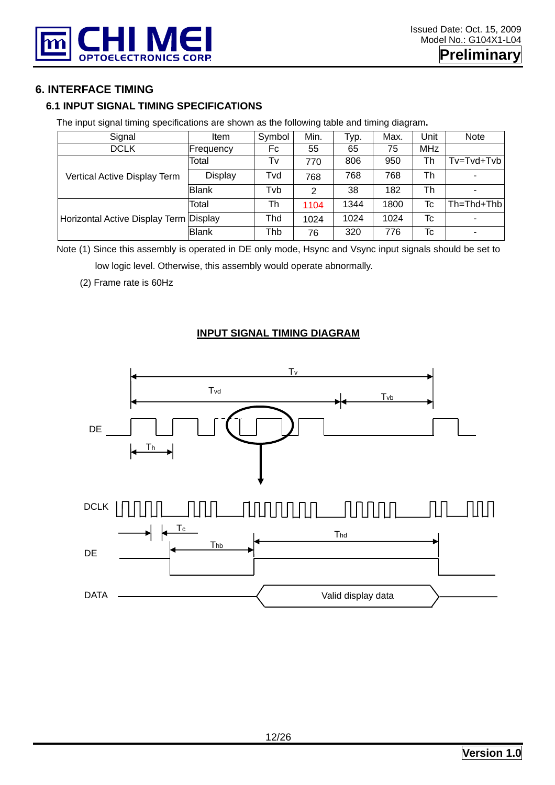

#### **6. INTERFACE TIMING**

#### **6.1 INPUT SIGNAL TIMING SPECIFICATIONS**

The input signal timing specifications are shown as the following table and timing diagram**.** 

| Signal                                 | Item           | Symbol | Min. | Typ. | Max. | Unit       | <b>Note</b>      |
|----------------------------------------|----------------|--------|------|------|------|------------|------------------|
| <b>DCLK</b>                            | Frequency      | Fc     | 55   | 65   | 75   | <b>MHz</b> |                  |
| Vertical Active Display Term           | Total          | Tv     | 770  | 806  | 950  | Th         | Tv=Tvd+Tvb       |
|                                        | <b>Display</b> | Tvd    | 768  | 768  | 768  | Th         |                  |
|                                        | <b>Blank</b>   | Tvb    | 2    | 38   | 182  | Th         |                  |
|                                        | Total          | Th     | 1104 | 1344 | 1800 | Tc         | $Th = Thd + Thb$ |
| Horizontal Active Display Term Display |                | Thd    | 1024 | 1024 | 1024 | Tc         |                  |
|                                        | <b>Blank</b>   | Thb    | 76   | 320  | 776  | Tc         |                  |

Note (1) Since this assembly is operated in DE only mode, Hsync and Vsync input signals should be set to low logic level. Otherwise, this assembly would operate abnormally.

#### (2) Frame rate is 60Hz

#### **INPUT SIGNAL TIMING DIAGRAM**

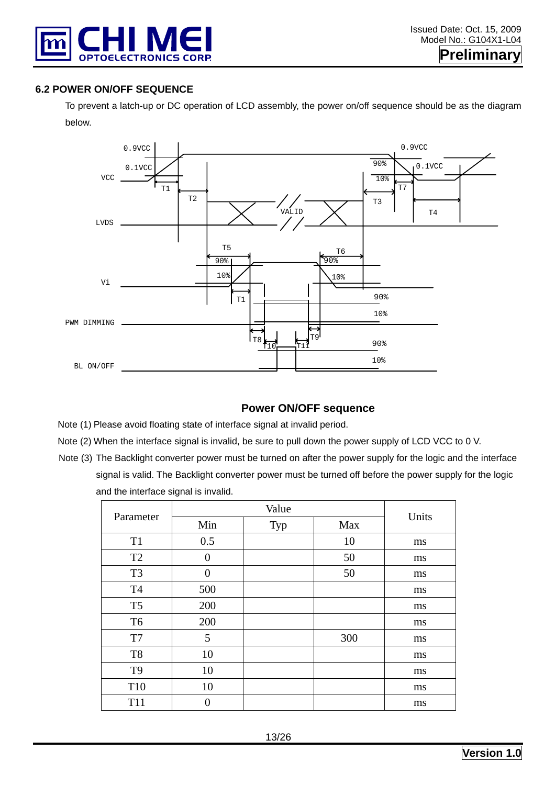

#### **6.2 POWER ON/OFF SEQUENCE**

To prevent a latch-up or DC operation of LCD assembly, the power on/off sequence should be as the diagram below.



#### **Power ON/OFF sequence**

Note (1) Please avoid floating state of interface signal at invalid period.

- Note (2) When the interface signal is invalid, be sure to pull down the power supply of LCD VCC to 0 V.
- Note (3) The Backlight converter power must be turned on after the power supply for the logic and the interface signal is valid. The Backlight converter power must be turned off before the power supply for the logic and the interface signal is invalid.

| Parameter       |                | Units |     |    |  |  |
|-----------------|----------------|-------|-----|----|--|--|
|                 | Min            | Typ   | Max |    |  |  |
| T <sub>1</sub>  | 0.5            |       | 10  | ms |  |  |
| T <sub>2</sub>  | $\overline{0}$ |       | 50  | ms |  |  |
| T <sub>3</sub>  | $\overline{0}$ |       | 50  | ms |  |  |
| <b>T4</b>       | 500            |       |     | ms |  |  |
| T <sub>5</sub>  | 200            |       |     | ms |  |  |
| T <sub>6</sub>  | 200            |       |     | ms |  |  |
| T7              | 5              |       | 300 | ms |  |  |
| T <sub>8</sub>  | 10             |       |     | ms |  |  |
| T <sub>9</sub>  | 10             |       |     | ms |  |  |
| T10             | 10             |       |     | ms |  |  |
| T <sub>11</sub> | 0              |       |     | ms |  |  |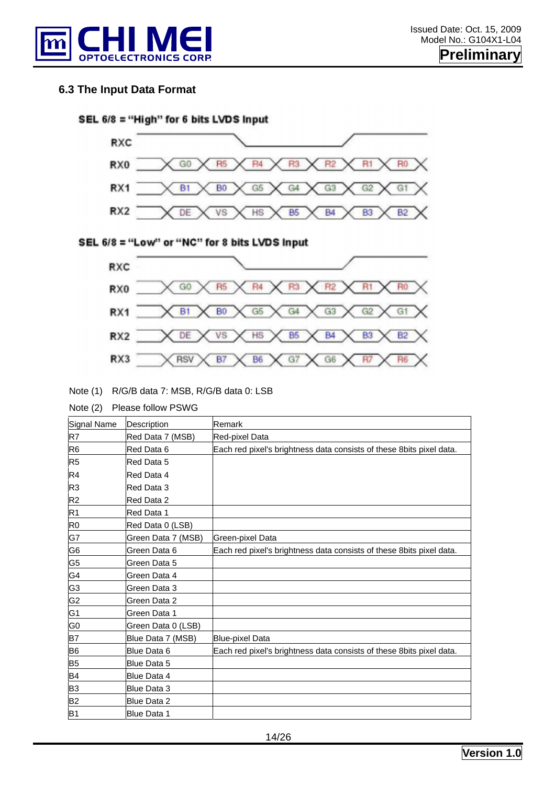

#### **6.3 The Input Data Format**





#### SEL 6/8 = "Low" or "NC" for 8 bits LVDS Input



#### Note (1) R/G/B data 7: MSB, R/G/B data 0: LSB

Note (2) Please follow PSWG

| Signal Name    | Description        | Remark                                                               |
|----------------|--------------------|----------------------------------------------------------------------|
| R7             | Red Data 7 (MSB)   | Red-pixel Data                                                       |
| R <sub>6</sub> | Red Data 6         | Each red pixel's brightness data consists of these 8bits pixel data. |
| R <sub>5</sub> | Red Data 5         |                                                                      |
| R <sub>4</sub> | Red Data 4         |                                                                      |
| R <sub>3</sub> | Red Data 3         |                                                                      |
| R2             | Red Data 2         |                                                                      |
| R1             | Red Data 1         |                                                                      |
| R <sub>0</sub> | Red Data 0 (LSB)   |                                                                      |
| G7             | Green Data 7 (MSB) | Green-pixel Data                                                     |
| G <sub>6</sub> | Green Data 6       | Each red pixel's brightness data consists of these 8bits pixel data. |
| G <sub>5</sub> | Green Data 5       |                                                                      |
| G4             | Green Data 4       |                                                                      |
| G <sub>3</sub> | Green Data 3       |                                                                      |
| G <sub>2</sub> | Green Data 2       |                                                                      |
| G <sub>1</sub> | Green Data 1       |                                                                      |
| G <sub>0</sub> | Green Data 0 (LSB) |                                                                      |
| <b>B7</b>      | Blue Data 7 (MSB)  | <b>Blue-pixel Data</b>                                               |
| <b>B6</b>      | Blue Data 6        | Each red pixel's brightness data consists of these 8bits pixel data. |
| <b>B5</b>      | Blue Data 5        |                                                                      |
| <b>B4</b>      | Blue Data 4        |                                                                      |
| B <sub>3</sub> | Blue Data 3        |                                                                      |
| B <sub>2</sub> | <b>Blue Data 2</b> |                                                                      |
| B <sub>1</sub> | Blue Data 1        |                                                                      |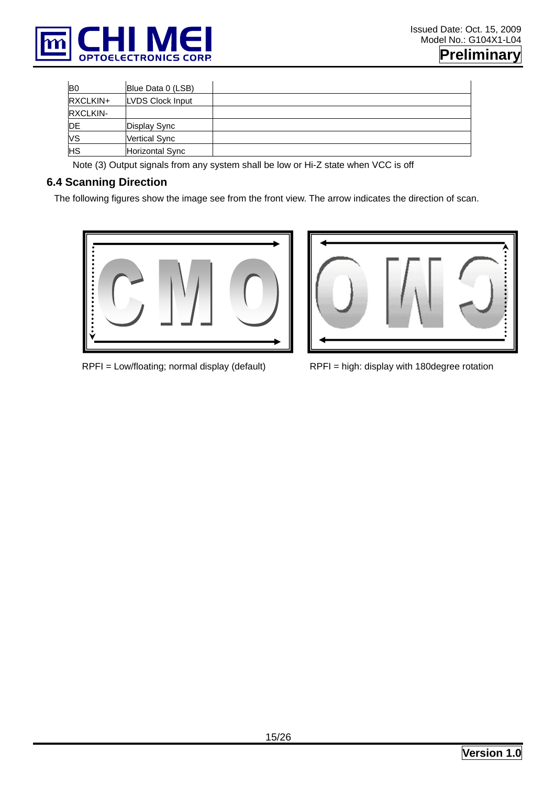

| B <sub>0</sub> | Blue Data 0 (LSB)    |  |
|----------------|----------------------|--|
| RXCLKIN+       | LVDS Clock Input     |  |
| RXCLKIN-       |                      |  |
| DE             | Display Sync         |  |
| VS             | <b>Vertical Sync</b> |  |
| HS             | Horizontal Sync      |  |

Note (3) Output signals from any system shall be low or Hi-Z state when VCC is off

### **6.4 Scanning Direction**

The following figures show the image see from the front view. The arrow indicates the direction of scan.





RPFI = Low/floating; normal display (default) RPFI = high: display with 180degree rotation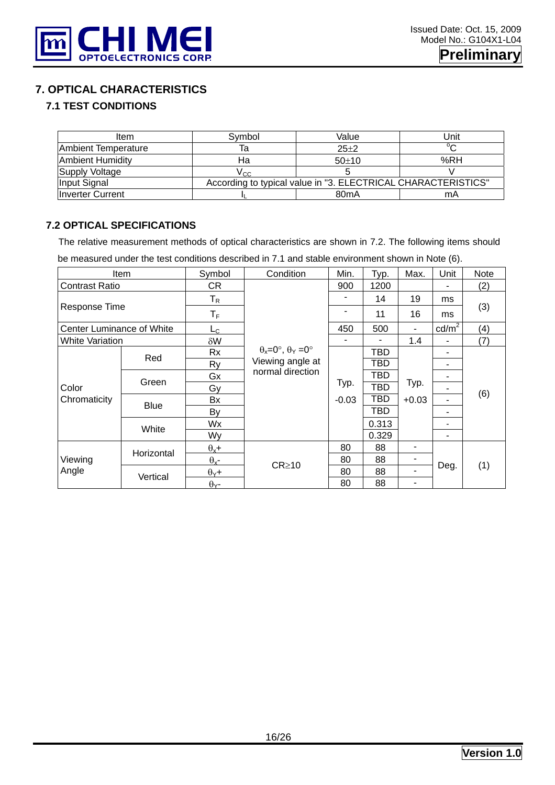

## **7. OPTICAL CHARACTERISTICS**

#### **7.1 TEST CONDITIONS**

| Item                    | Svmbol | Value                                                         | Unit   |  |  |  |  |
|-------------------------|--------|---------------------------------------------------------------|--------|--|--|--|--|
| Ambient Temperature     | ıa     | $25+2$                                                        | $\sim$ |  |  |  |  |
| Ambient Humidity        | На     | $50+10$                                                       | %RH    |  |  |  |  |
| Supply Voltage          | Vcc.   |                                                               |        |  |  |  |  |
| Input Signal            |        | According to typical value in "3. ELECTRICAL CHARACTERISTICS" |        |  |  |  |  |
| <b>Inverter Current</b> |        | 80 <sub>m</sub> A                                             | mA     |  |  |  |  |

#### **7.2 OPTICAL SPECIFICATIONS**

The relative measurement methods of optical characteristics are shown in 7.2. The following items should

be measured under the test conditions described in 7.1 and stable environment shown in Note (6).

|                           | Item        | Symbol                    | Condition                                   | Min.    | Typ.       | Max.    | Unit            | Note |
|---------------------------|-------------|---------------------------|---------------------------------------------|---------|------------|---------|-----------------|------|
| <b>Contrast Ratio</b>     |             | CR                        |                                             | 900     | 1200       |         |                 | (2)  |
|                           |             | $\mathsf{T}_{\mathsf{R}}$ |                                             | 14      |            | 19      | ms              |      |
| Response Time             |             | $T_F$                     |                                             | ۰       | 11         | 16      | ms              | (3)  |
| Center Luminance of White |             | L <sub>C</sub>            |                                             | 450     | 500        | ۰       | $\text{cd/m}^2$ | (4)  |
| White Variation           |             | $\delta W$                |                                             |         |            | 1.4     | ۰               | (7)  |
|                           | Red         | Rx                        | $\theta_x = 0^\circ$ , $\theta_y = 0^\circ$ |         | TBD        |         | ۰               |      |
| Color                     |             | Ry                        | Viewing angle at                            |         | TBD        |         | ۰               |      |
|                           | Green       | Gx                        | normal direction                            |         | TBD        |         | ۰               |      |
|                           |             | Gy                        |                                             | Typ.    | <b>TBD</b> | Typ.    | ۰.              |      |
| Chromaticity              | <b>Blue</b> | Bx                        |                                             | $-0.03$ | TBD        | $+0.03$ | ۰.              | (6)  |
|                           |             | By                        |                                             |         | TBD        |         | ۰               |      |
|                           |             | Wx                        |                                             |         | 0.313      |         | ٠               |      |
|                           | White       | Wy                        |                                             |         | 0.329      |         | ۰               |      |
|                           | Horizontal  | $\theta_x +$              |                                             | 80      | 88         | ۰       |                 |      |
| Viewing<br>Angle          |             | $\theta_{x}$ -            |                                             | 80      | 88         | ٠       |                 | (1)  |
|                           | Vertical    | $\theta$ <sub>Y</sub> +   | $CR \ge 10$                                 | 80      | 88         | ۰       | Deg.            |      |
|                           |             | $\theta$ <sub>Y</sub> -   |                                             | 80      | 88         | ۰       |                 |      |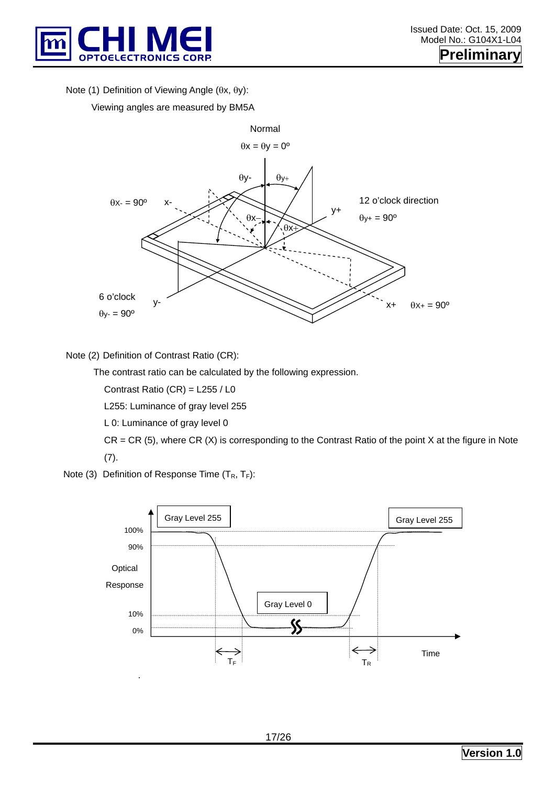

Note (1) Definition of Viewing Angle (θx, θy):

Viewing angles are measured by BM5A



Note (2) Definition of Contrast Ratio (CR):

The contrast ratio can be calculated by the following expression.

Contrast Ratio (CR) = L255 / L0

L255: Luminance of gray level 255

L 0: Luminance of gray level 0

 $CR = CR$  (5), where  $CR$  (X) is corresponding to the Contrast Ratio of the point X at the figure in Note (7).

Note (3) Definition of Response Time  $(T_R, T_F)$ :

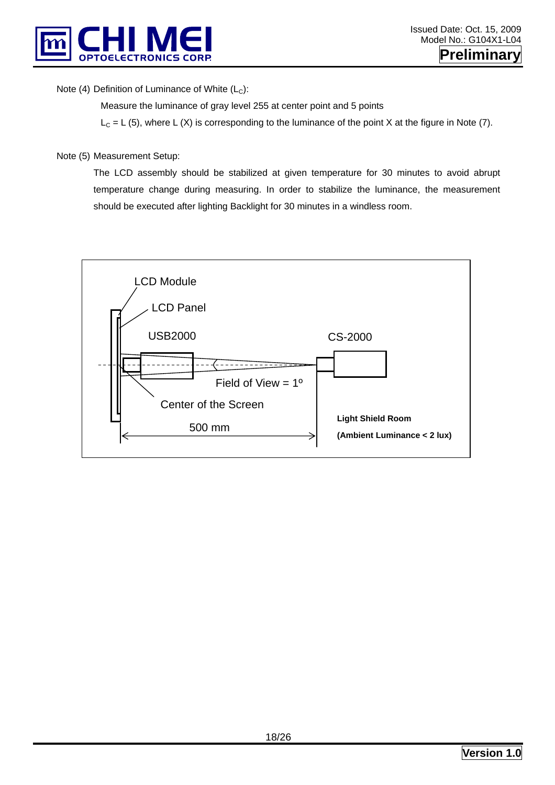

Note (4) Definition of Luminance of White  $(L<sub>C</sub>)$ :

Measure the luminance of gray level 255 at center point and 5 points

 $L<sub>C</sub> = L (5)$ , where L (X) is corresponding to the luminance of the point X at the figure in Note (7).

#### Note (5) Measurement Setup:

The LCD assembly should be stabilized at given temperature for 30 minutes to avoid abrupt temperature change during measuring. In order to stabilize the luminance, the measurement should be executed after lighting Backlight for 30 minutes in a windless room.

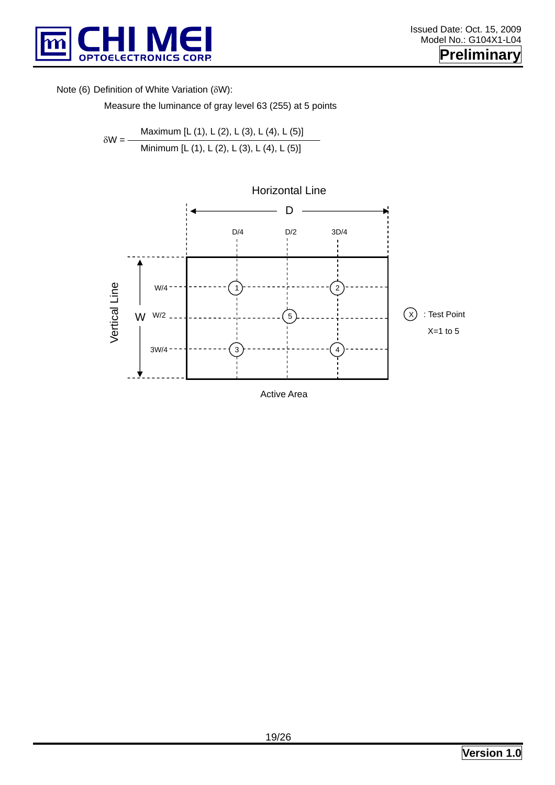

#### Note (6) Definition of White Variation (δW):

Measure the luminance of gray level 63 (255) at 5 points

$$
\delta W = \frac{\text{Maximum } [L (1), L (2), L (3), L (4), L (5)]}{\text{Minimum } [L (1), L (2), L (3), L (4), L (5)]}
$$

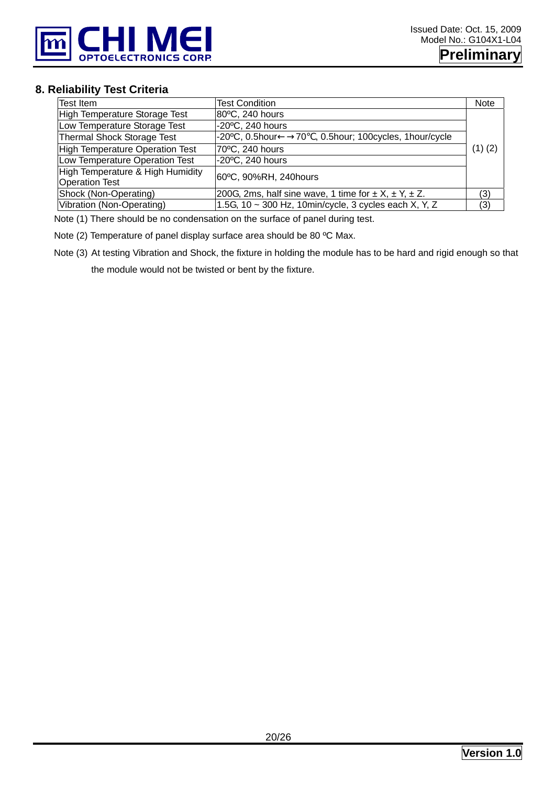

#### **8. Reliability Test Criteria**

| Test Item                                                 | <b>Test Condition</b>                                                | <b>Note</b> |
|-----------------------------------------------------------|----------------------------------------------------------------------|-------------|
| <b>High Temperature Storage Test</b>                      | 80°C, 240 hours                                                      |             |
| Low Temperature Storage Test                              | -20°C, 240 hours                                                     |             |
| <b>Thermal Shock Storage Test</b>                         | $-20$ <sup>o</sup> C, 0.5hour<br>70, 0.5hour; 100cycles, 1hour/cycle |             |
| <b>High Temperature Operation Test</b>                    | 70°C, 240 hours                                                      | $(1)$ $(2)$ |
| Low Temperature Operation Test                            | -20°C, 240 hours                                                     |             |
| High Temperature & High Humidity<br><b>Operation Test</b> | 60°C, 90%RH, 240hours                                                |             |
| Shock (Non-Operating)                                     | 200G, 2ms, half sine wave, 1 time for $\pm X$ , $\pm Y$ , $\pm Z$ .  | (3)         |
| Vibration (Non-Operating)                                 | 1.5G, 10 ~ 300 Hz, 10min/cycle, 3 cycles each X, Y, Z                | (3)         |

Note (1) There should be no condensation on the surface of panel during test.

Note (2) Temperature of panel display surface area should be 80 ºC Max.

Note (3) At testing Vibration and Shock, the fixture in holding the module has to be hard and rigid enough so that

the module would not be twisted or bent by the fixture.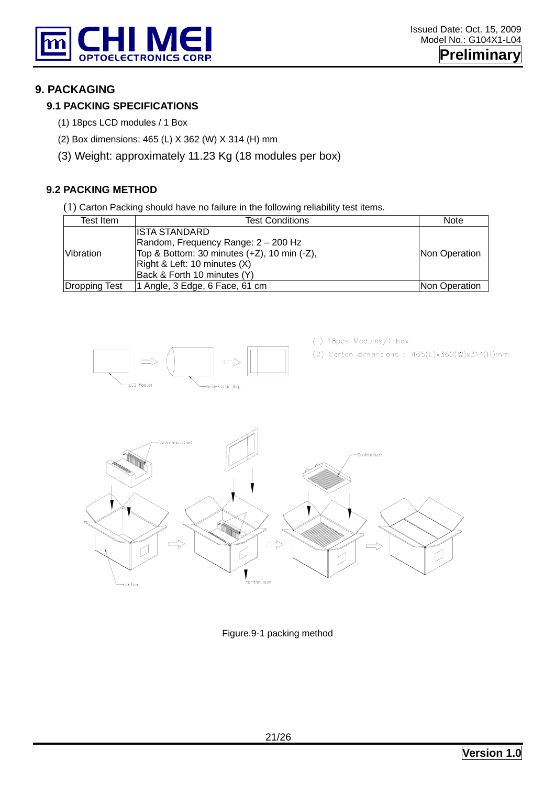

#### **9. PACKAGING**

#### **9.1 PACKING SPECIFICATIONS**

- (1) 18pcs LCD modules / 1 Box
- (2) Box dimensions: 465 (L) X 362 (W) X 314 (H) mm
- (3) Weight: approximately 11.23 Kg (18 modules per box)

#### **9.2 PACKING METHOD**

(1) Carton Packing should have no failure in the following reliability test items.

| Test Item     | <b>Test Conditions</b>                               | <b>Note</b>          |
|---------------|------------------------------------------------------|----------------------|
|               | ISTA STANDARD<br>Random, Frequency Range: 2 - 200 Hz |                      |
| Vibration     | Top & Bottom: 30 minutes (+Z), 10 min (-Z),          | Non Operation        |
|               | Right & Left: 10 minutes (X)                         |                      |
|               | Back & Forth 10 minutes (Y)                          |                      |
| Dropping Test | 1 Angle, 3 Edge, 6 Face, 61 cm                       | <b>Non Operation</b> |



Figure.9-1 packing method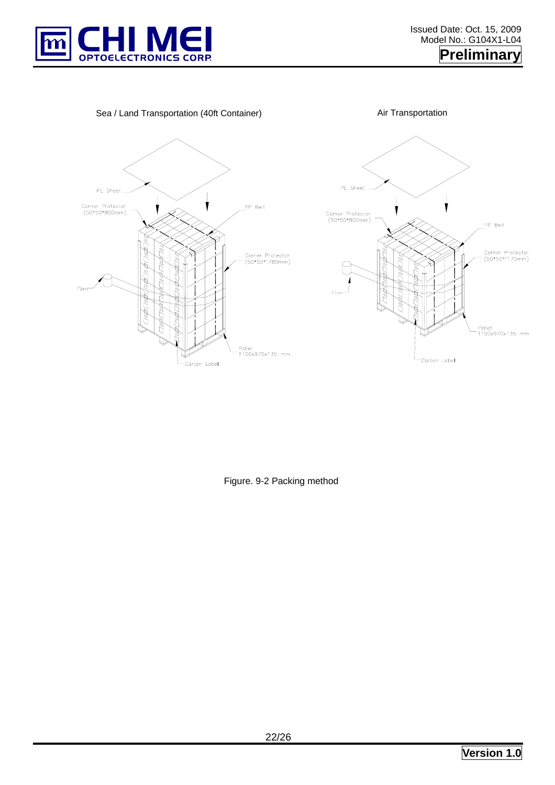

Sea / Land Transportation (40ft Container) **Air Transportation** 





Figure. 9-2 Packing method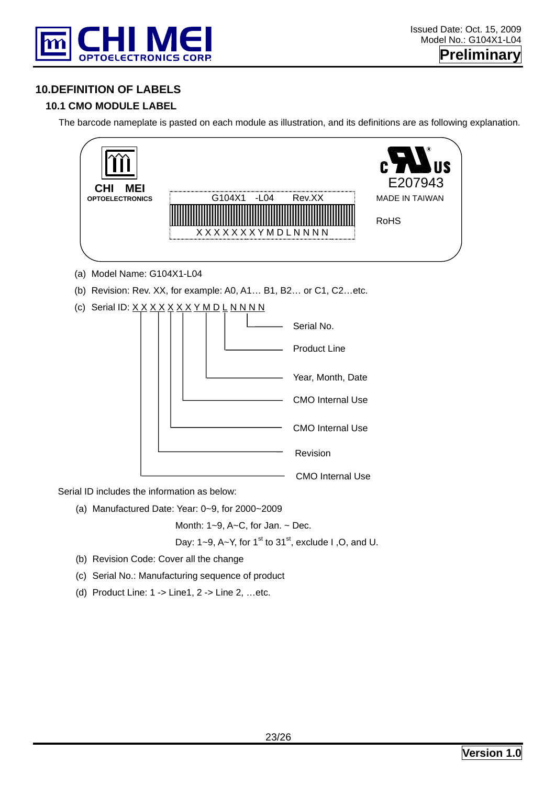

#### **10.DEFINITION OF LABELS**

#### **10.1 CMO MODULE LABEL**

The barcode nameplate is pasted on each module as illustration, and its definitions are as following explanation.



Serial ID includes the information as below:

(a) Manufactured Date: Year: 0~9, for 2000~2009

Month: 1~9, A~C, for Jan. ~ Dec.

Day: 1~9, A~Y, for 1<sup>st</sup> to 31<sup>st</sup>, exclude I, O, and U.

- (b) Revision Code: Cover all the change
- (c) Serial No.: Manufacturing sequence of product
- (d) Product Line: 1 -> Line1, 2 -> Line 2, …etc.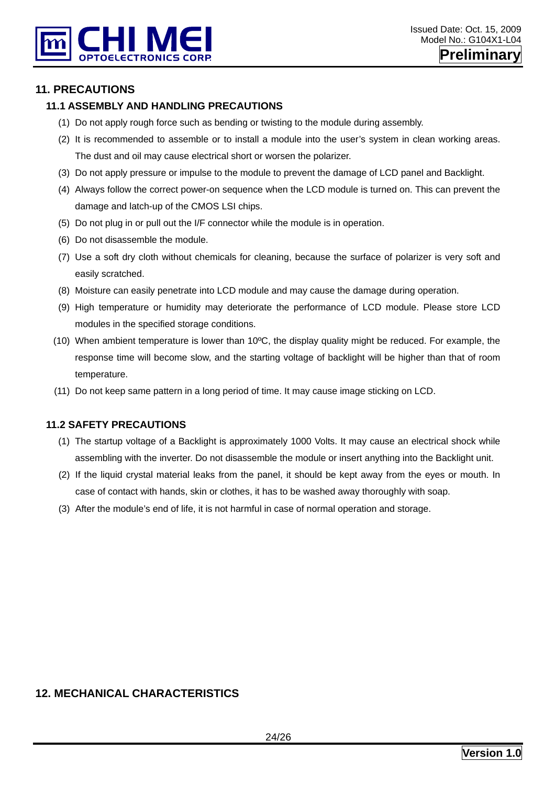

#### **11. PRECAUTIONS**

#### **11.1 ASSEMBLY AND HANDLING PRECAUTIONS**

- (1) Do not apply rough force such as bending or twisting to the module during assembly.
- (2) It is recommended to assemble or to install a module into the user's system in clean working areas. The dust and oil may cause electrical short or worsen the polarizer.
- (3) Do not apply pressure or impulse to the module to prevent the damage of LCD panel and Backlight.
- (4) Always follow the correct power-on sequence when the LCD module is turned on. This can prevent the damage and latch-up of the CMOS LSI chips.
- (5) Do not plug in or pull out the I/F connector while the module is in operation.
- (6) Do not disassemble the module.
- (7) Use a soft dry cloth without chemicals for cleaning, because the surface of polarizer is very soft and easily scratched.
- (8) Moisture can easily penetrate into LCD module and may cause the damage during operation.
- (9) High temperature or humidity may deteriorate the performance of LCD module. Please store LCD modules in the specified storage conditions.
- (10) When ambient temperature is lower than 10ºC, the display quality might be reduced. For example, the response time will become slow, and the starting voltage of backlight will be higher than that of room temperature.
- (11) Do not keep same pattern in a long period of time. It may cause image sticking on LCD.

#### **11.2 SAFETY PRECAUTIONS**

- (1) The startup voltage of a Backlight is approximately 1000 Volts. It may cause an electrical shock while assembling with the inverter. Do not disassemble the module or insert anything into the Backlight unit.
- (2) If the liquid crystal material leaks from the panel, it should be kept away from the eyes or mouth. In case of contact with hands, skin or clothes, it has to be washed away thoroughly with soap.
- (3) After the module's end of life, it is not harmful in case of normal operation and storage.

## **12. MECHANICAL CHARACTERISTICS**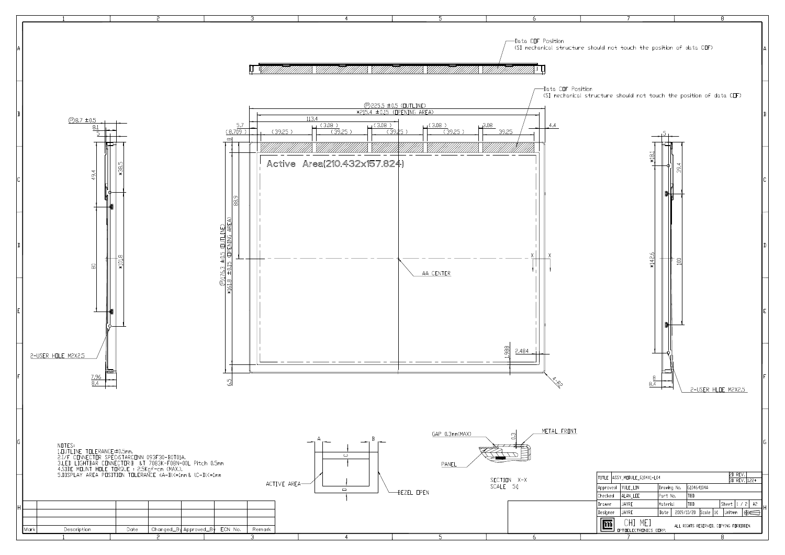